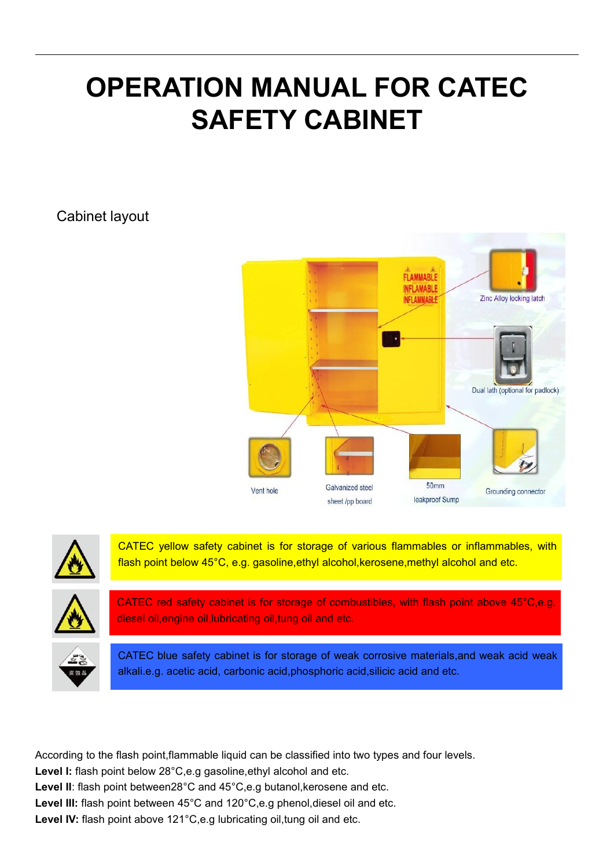# **OPERATION MANUAL FOR CATEC SAFETY CABINET**

## Cabinet layout





CATEC yellow safety cabinet is for storage of various flammables or inflammables, with flash point below 45°C, e.g. gasoline, ethyl alcohol, kerosene, methyl alcohol and etc.



CATEC red safety cabinet is for storage of combustibles, with flash point above 45°C,e.g. diesel oil,engine oil,[lubricating](file:///C:/Documents%20and%20Settings/Administrator/Local%20Settings/Application%20Data/Yodao/DeskDict/frame/20150129081848/javascript:void(0);) [oil](file:///C:/Documents%20and%20Settings/Administrator/Local%20Settings/Application%20Data/Yodao/DeskDict/frame/20150129081848/javascript:void(0);),tung oil and etc.



CATEC blue safety cabinet is for storage of weak corrosive materials,and weak acid weak alkali.e.g. acetic acid, carbonic acid,phosphoric acid,silicic acid and etc.

According to the flash point,flammable liquid can be classified into two types and four levels. **Level I:** flash point below 28°C,e.g gasoline,ethyl alcohol and etc. **Level II**: flash point between28°C and 45°C,e.g butanol,kerosene and etc. **Level III:** flash point between 45°C and 120°C,e.g phenol,diesel oil and etc. **Level IV:** flash point above 121°C,e.g [lubricating](file:///C:/Documents%20and%20Settings/Administrator/Local%20Settings/Application%20Data/Yodao/DeskDict/frame/20150129081848/javascript:void(0);) [oil,](file:///C:/Documents%20and%20Settings/Administrator/Local%20Settings/Application%20Data/Yodao/DeskDict/frame/20150129081848/javascript:void(0);)tung oil and etc.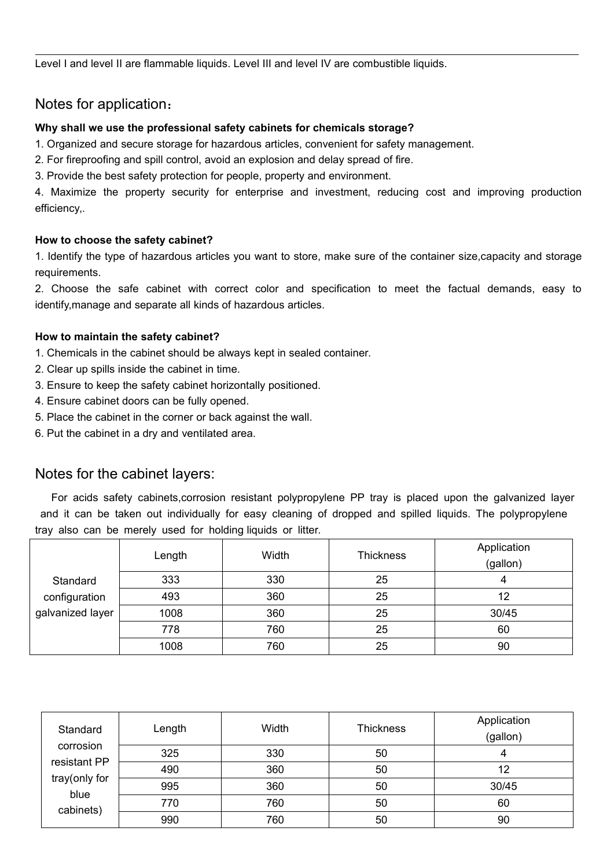Level I and level II are flammable liquids. Level III and level IV are combustible liquids.

### Notes for application:

#### **Why shall we use the professional safety cabinets for chemicals storage?**

1. Organized and secure storage for hazardous articles, convenient for safety management.

2. For fireproofing and spill control, avoid an explosion and delay spread of fire.

3. Provide the best safety protection for people, property and environment.

4. Maximize the property security for enterprise and investment, reducing cost and improving production efficiency,.

#### **How to choose the safety cabinet?**

1. Identify the type of hazardous articles you want to store, make sure of the container size,capacity and storage requirements.

2. Choose the safe cabinet with correct color and specification to meet the factual demands, easy to identify,manage and separate all kinds of hazardous articles.

#### **How to maintain the safety cabinet?**

1. Chemicals in the cabinet should be always kept in sealed container.

- 2. Clear up spills inside the cabinet in time.
- 3. Ensure to keep the safety cabinet horizontally positioned.
- 4. Ensure cabinet doors can be fully opened.
- 5. Place the cabinet in the corner or back against the wall.
- 6. Put the cabinet in a dry and ventilated area.

## Notes for the cabinet layers:

For acids safety cabinets,corrosion resistant polypropylene PP tray is placed upon the galvanized layer and it can be taken out individually for easy cleaning of dropped and spilled liquids. The polypropylene tray also can be merely used for holding liquids or litter.

|                  | Length | Width | <b>Thickness</b> | Application<br>(gallon) |
|------------------|--------|-------|------------------|-------------------------|
| Standard         | 333    | 330   | 25               |                         |
| configuration    | 493    | 360   | 25               |                         |
| galvanized layer | 1008   | 360   | 25               | 30/45                   |
|                  | 778    | 760   | 25               | 60                      |
|                  | 1008   | 760   | 25               | 90                      |

| Standard              | Length | Width | <b>Thickness</b> | Application<br>(gallon) |
|-----------------------|--------|-------|------------------|-------------------------|
| corrosion             | 325    | 330   | 50               |                         |
| resistant PP          | 490    | 360   | 50               | 12                      |
| tray(only for<br>blue | 995    | 360   | 50               | 30/45                   |
| cabinets)             | 770    | 760   | 50               | 60                      |
|                       | 990    | 760   | 50               | 90                      |